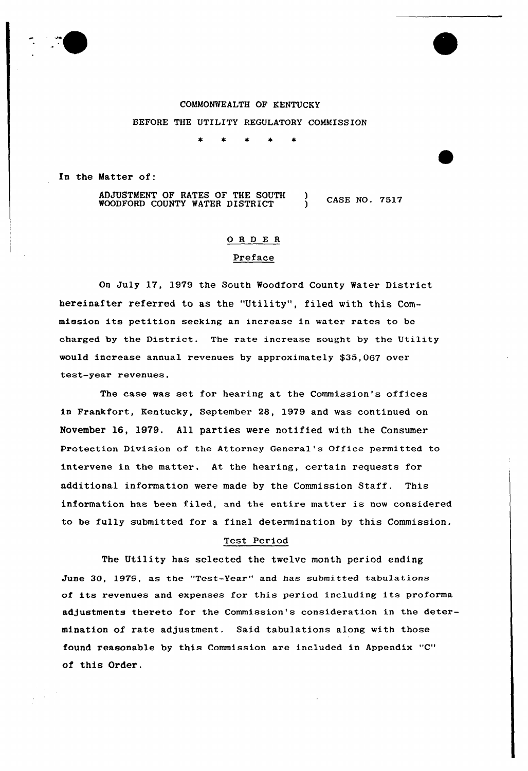# COMMONWEALTH OF KENTUCKY BEFORE THE UTILITY REGULATORY COMMISSION

 $\pm$  $\star$  $\star$  $\star$ 

In the Matter of:

ADJUSTMENT OF RATES OF THE SOUTH ADJUSTMENT OF RATES OF THE SOUTH ) CASE NO. 7517<br>WOODFORD COUNTY WATER DISTRICT ) CASE NO. 7517

## 0 <sup>R</sup> <sup>D</sup> E <sup>R</sup>

## Preface

On July 17, 1979 the South Woodford County Water District hereinafter referred to as the "Utility", filed with this Commission its petition seeking an increase in water rates to be charged by the District. The rate increase sought by the Utility would increase annual revenues by approximately \$35,067 over test-year revenues.

The case was set for hearing at the Commission's offices in Frankfort, Kentucky, September 28, 1979 and was continued on November 16, 1979. All parties were notified with the Consumer protection Division of the Attorney General's Office permitted to intervene in the matter. At the hearing, certain requests for additional information were made by the Commission Staff. This information has been filed, and the entire matter is now considered to be fully submitted for a final determination by this Commission,

#### Test Period

The Utility has selected the twelve month period ending June 30, 1979, as the "Test-Year" and has submitted tabulations of its revenues and expenses for this period including its proforma adjustments thereto for the Commission's consideration in the determination of rate adjustment. Said tabulations along with those found reasonable by this Commission are included in Appendix "C" of this Order.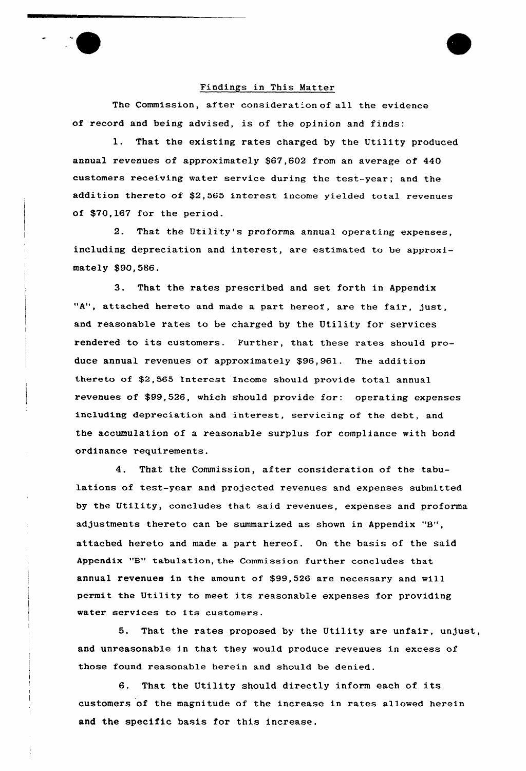#### Findings in This Matter

The Commission, after consideration of all the evidence of record and being advised, is of the opinion and finds:

That the existing rates charged by the Utility produced annual revenues of approximately \$67,602 from an average of 440 customers receiving water service during the test-year; and the addition thereto of \$2,565 interest income yielded total revenues of \$70,167 for the period.

2. That the Utility's proforma annual operating expenses, including depreciation and interest, are estimated to be approximately \$90,586.

3. That the rates prescxibed and set forth in Appendix "A", attached hereto and made a part hereof, are the fair, just, and reasonable rates to be charged by the Utility for services rendered to its customers. Further, that these rates should produce annual revenues of approximately \$96,961. The addition thereto of \$2,565 Interest Income should provide total annual revenues of \$99,526, which should provide for: operating expenses including depreciation and interest, servicing of the debt, and the accumulation of a reasonable surplus for compliance with bond ordinance requirements.

4. That the Commission, after consideration of the tabulations of test-year and projected revenues and expenses submitted by the Utility, concludes that said revenues, expenses and proforma adjustments thereto can be summarized as shown in Appendix "B", attached hereto and made a part hereof. On the basis of the said Appendix "B" tabulation, the Commission further concludes that annual revenues in the amount of \$99,526 are necessary and vill permit the Utility to meet its reasonable expenses for providing water services to its customers.

5. That the rates proposed by the Utility are unfair, unjust, and unreasonable in that they would produce revenues in excess of those found reasonable herein and should be denied.

6. That the Utility should directly inform each of its customers of the magnitude of the increase in rates allowed herein and the specific basis for this increase.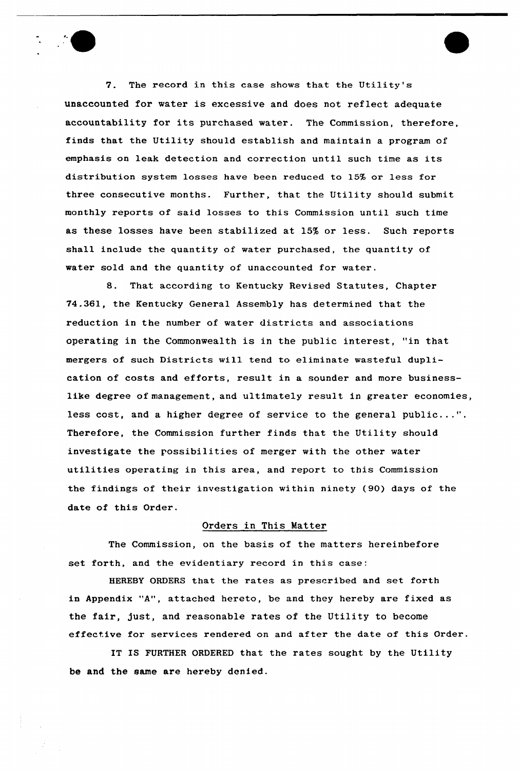7. The record in this case shows that the Utility's unaccounted for water is excessive and does not reflect adequate accountability for its purchased water. The Commission, therefore, finds that the Utility should establish and maintain a program of emphasis on leak detection and correction until such time as its distribution system losses have been reduced to 15% or less for three consecutive months. Further, that the Utility should submit monthly reports of said losses to this Commission until such time as these losses have been stabilized at 15% or less. Such reports shall include the quantity of water purchased, the quantity of water sold and the quantity of unaccounted for water.

8. That according to Kentucky Revised Statutes, Chapter 74.361, the Kentucky General Assembly has determined that the reduction in the number of water districts and associations operating in the Commonwealth is in the public interest, "in that mergers of such Districts will tend to eliminate wasteful duplication of costs and efforts, result in a sounder and more businesslike degree of management, and ultimately result in greater economies, less cost, and a higher degree of service to the general public...". Therefore, the Commission further finds that the Utility should investigate the possibilities of merger with the other water utilities operating in this area, and report to this Commission the findings of their investigation within ninety (90) days of the date of this Order.

# Orders in This Matter

The Commission, on the basis of the matters hereinbefore set forth, and the evidentiary record in this case:

HEREBY ORDERS that the rates as prescribed and set forth in Appendix "A", attached hereto, be and they hereby are fixed as the fair, just, and reasonable rates of the Utility to become effective for services rendered on and after the date of this Order.

IT IS FURTHER ORDERED that the rates sought by the Utility be and the same are hereby denied.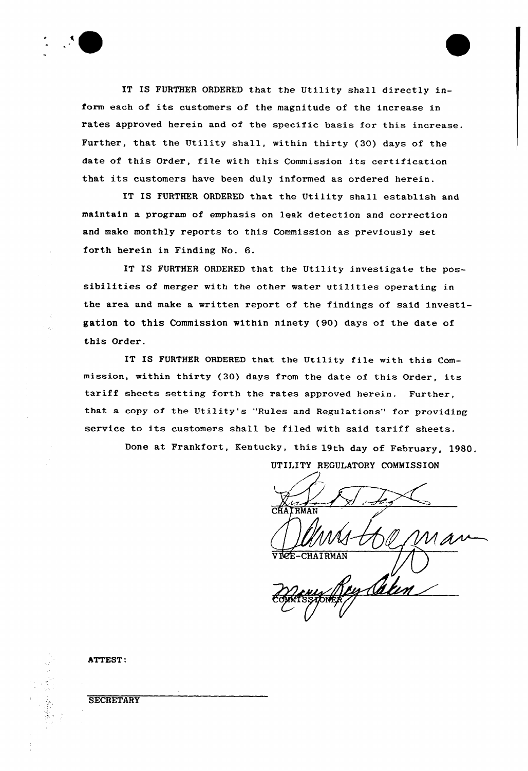

IT IS FURTHER ORDERED that the Utility shall directly inform each of its customers of the magnitude of the increase in rates approved herein and of the specific basis for this increase. Further, that the Utility shall, within thirty (30) days of the date of this Order, file with this Commission its certification that its customers have been duly informed as ordered herein.

IT IS FURTHER ORDERED that the Utility shall establish and maintain a program of emphasis on leak detection and correction and make monthly reports to this Commission as previously set forth herein in Finding No. 6.

IT IS FURTHER ORDERED that the Utility investigate the possibilities of merger with the other water utilities operating in the area and make a written report of the findings of said investigation to this Commission within ninety (90) days of the date of this Order.

IT IS FURTHER ORDERED that the Utility file with this Commission, within thirty (30) days from the date of this Order, its tariff sheets setting forth the rates approved herein. Further, that a copy of the Utility's "Rules and Regulations" for providing service to its customers shall be filed with said tariff sheets.

Done at Frankfort, Kentucky, this 19th day of February, 1980.

UTILITY RFGULATORY COMMISSION

**CHAIRMAN** 

ATTEST:

**SECRETARY**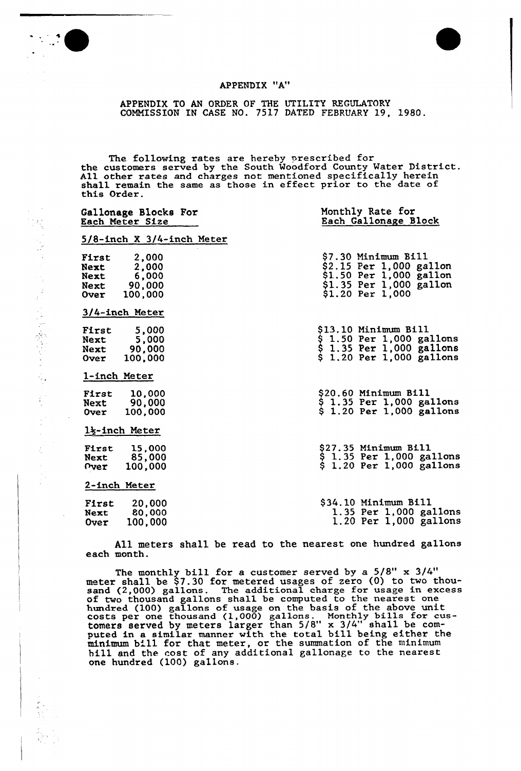



## APPENDIX "A"

APPENDIX TO AN ORDER OF THE UTILITY REGULATORY COMMISSION IN CASE NO. 7517 DATED FEBRUARY 19, 1980.

The following rates are hereby prescribed for the customers served by the South Woodford County Water District. All other rates and charges not mentioned specifically herein shall remain the same as those in effect prior to the date of this Order.

| Gallonage Blocks For<br>Each Meter Size                                               | Monthly Rate for<br>Each Gallonage Block                                                                                           |  |  |
|---------------------------------------------------------------------------------------|------------------------------------------------------------------------------------------------------------------------------------|--|--|
| $5/8$ -inch X $3/4$ -inch Meter                                                       |                                                                                                                                    |  |  |
| 2,000<br>First<br>2,000<br>Next<br>6,000<br>Next<br>90,000<br>Next<br>Over<br>100,000 | <b>\$7.30 Minimum Bill</b><br>$$2.15$ Per 1,000 gallon<br>$$1.50$ Per 1,000 gallon<br>$$1.35$ Per 1,000 gallon<br>\$1.20 Per 1,000 |  |  |
| 3/4-inch Meter                                                                        |                                                                                                                                    |  |  |
| 5,000<br>First<br>5,000<br>Next<br>Next 90.000<br>100,000<br><b>Over</b>              | \$13.10 Minimum Bill<br>\$ 1.50 Per 1,000 gallons<br>\$ 1.35 Per 1,000 gallons<br>$$1.20$ Per 1,000 gallons                        |  |  |
| 1-inch Meter                                                                          |                                                                                                                                    |  |  |
| 10,000<br>First<br>90,000<br>Next<br>100,000<br>Over                                  | \$20.60 Minimum Bill<br>$$1.35$ Per 1,000 gallons<br>$$1.20$ Per 1,000 gallons                                                     |  |  |
| $1\frac{1}{2}$ -inch Meter                                                            |                                                                                                                                    |  |  |
| 15,000<br>First<br>Next 85,000<br>100,000<br><b>Pver</b>                              | \$27.35 Minimum Bill<br>$$1.35$ Per 1,000 gallons<br>$$1.20$ Per 1,000 gallons                                                     |  |  |
| 2-inch Meter                                                                          |                                                                                                                                    |  |  |
| 20,000<br>First<br>80,000<br>Next<br>100,000<br>Over                                  | \$34.10 Minimum Bill<br>1.35 Per $1,000$ gallons<br>1.20 Per $1,000$ gallons                                                       |  |  |

All meters shall be read to the nearest one hundred gallons each month.

The monthly bill for a customer served by a  $5/8"$  x  $3/4"$ meter shall be \$7.30 for metered usages of zero (0) to two thousand (2,000) gallons. The additional charge for usage in excess of two thousand gallons shall be computed to the nearest one hundred (100) gallons of usage on the basis of the above unit costs per one thousand {1,000) gallons. Monthly bills for customers served by meters larger than 5/8" x 3/4" shall be computed in a similar manner with the total bill being either the puted in a similar manner with the total bill being either<br>minimum bill for that meter, or the summation of the minimu hill and the cost of any additional gallonage to the neares one hundred (100) gallons .